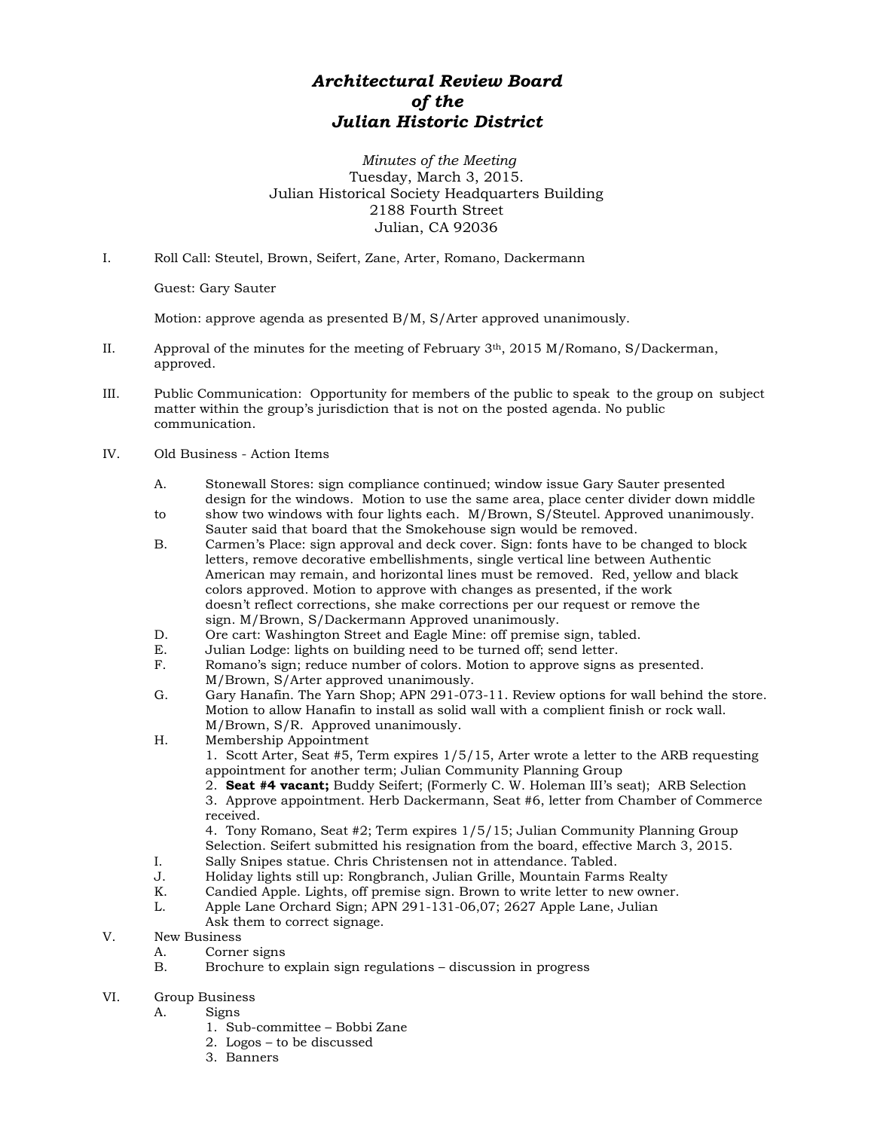## *Architectural Review Board of the Julian Historic District*

*Minutes of the Meeting* Tuesday, March 3, 2015. Julian Historical Society Headquarters Building 2188 Fourth Street Julian, CA 92036

I. Roll Call: Steutel, Brown, Seifert, Zane, Arter, Romano, Dackermann

Guest: Gary Sauter

Motion: approve agenda as presented B/M, S/Arter approved unanimously.

- II. Approval of the minutes for the meeting of February  $3<sup>th</sup>$ , 2015 M/Romano, S/Dackerman, approved.
- III. Public Communication: Opportunity for members of the public to speak to the group on subject matter within the group's jurisdiction that is not on the posted agenda. No public communication.
- IV. Old Business Action Items
	- A. Stonewall Stores: sign compliance continued; window issue Gary Sauter presented design for the windows. Motion to use the same area, place center divider down middle
	- to show two windows with four lights each. M/Brown, S/Steutel. Approved unanimously. Sauter said that board that the Smokehouse sign would be removed.
	- B. Carmen's Place: sign approval and deck cover. Sign: fonts have to be changed to block letters, remove decorative embellishments, single vertical line between Authentic American may remain, and horizontal lines must be removed. Red, yellow and black colors approved. Motion to approve with changes as presented, if the work doesn't reflect corrections, she make corrections per our request or remove the sign. M/Brown, S/Dackermann Approved unanimously.
	- D. Ore cart: Washington Street and Eagle Mine: off premise sign, tabled.
	- E. Julian Lodge: lights on building need to be turned off; send letter.
	- F. Romano's sign; reduce number of colors. Motion to approve signs as presented. M/Brown, S/Arter approved unanimously.
	- G. Gary Hanafin. The Yarn Shop; APN 291-073-11. Review options for wall behind the store. Motion to allow Hanafin to install as solid wall with a complient finish or rock wall. M/Brown, S/R. Approved unanimously.
	- H. Membership Appointment
		- 1. Scott Arter, Seat #5, Term expires 1/5/15, Arter wrote a letter to the ARB requesting appointment for another term; Julian Community Planning Group
		- 2. **Seat #4 vacant;** Buddy Seifert; (Formerly C. W. Holeman III's seat); ARB Selection 3. Approve appointment. Herb Dackermann, Seat #6, letter from Chamber of Commerce received.

4. Tony Romano, Seat #2; Term expires 1/5/15; Julian Community Planning Group Selection. Seifert submitted his resignation from the board, effective March 3, 2015.

- I. Sally Snipes statue. Chris Christensen not in attendance. Tabled.
- 
- J. Holiday lights still up: Rongbranch, Julian Grille, Mountain Farms Realty Candied Apple. Lights, off premise sign. Brown to write letter to new owner.
- L. Apple Lane Orchard Sign; APN 291-131-06,07; 2627 Apple Lane, Julian
- Ask them to correct signage.
- V. New Business
	- A. Corner signs<br>B. Brochure to e
	- Brochure to explain sign regulations discussion in progress
- VI. Group Business
	- A. Signs
		- 1. Sub-committee Bobbi Zane
		- 2. Logos to be discussed
		- 3. Banners